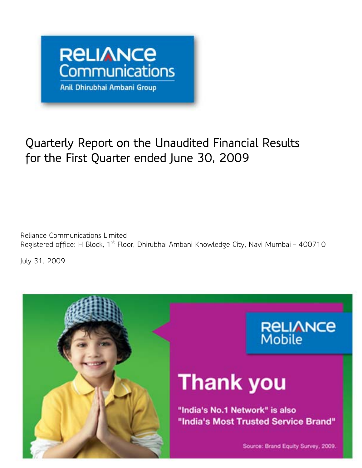

## Quarterly Report on the Unaudited Financial Results  $\overline{\phantom{a}}$ for the First Quarter ended June 30, 2009

 $\overline{a}$ Reliance Communications Limited Registered office: H Block, 1<sup>st</sup> Floor, Dhirubhai Ambani Knowledge City, Navi Mumbai – 400710

July 31, 2009

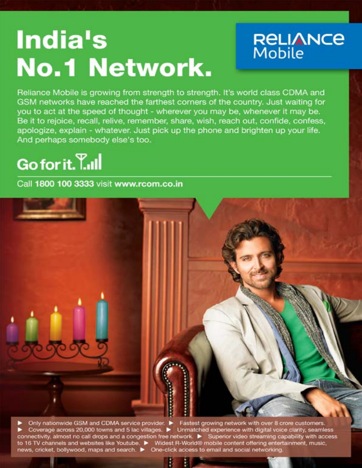# India's **No.1 Network.**



Reliance Mobile is growing from strength to strength. It's world class CDMA and GSM networks have reached the farthest corners of the country. Just waiting for you to act at the speed of thought - wherever you may be, whenever it may be. Be it to rejoice, recall, relive, remember, share, wish, reach out, confide, confess, apologize, explain - whatever, Just pick up the phone and brighten up your life. And perhaps somebody else's too.

## Go for it. T.ull

Call 1800 100 3333 visit www.rcom.co.in



Coverage across 20,000 towns and 5 lac villages. <br>
Coverage across 20,000 towns and 5 lac villages. <br>
Michael experience with digital voice clarity, seamless<br>
to 16 TV channels and websites like Youtube. <br>
Midest R-World®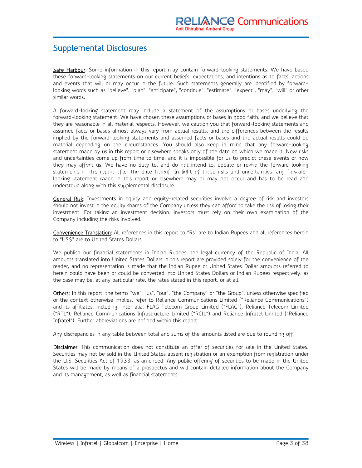## Supplemental Disclosures

Safe Harbour: Some information in this report may contain forward-looking statements. We have based these forward-looking statements on our current beliefs, expectations, and intentions as to facts, actions and events that will or may occur in the future. Such statements generally are identified by forwardlooking words such as "believe", "plan", "anticipate", "continue", "estimate", "expect", "may", "will" or other similar words.

A forward-looking statement may include a statement of the assumptions or bases underlying the forward-looking statement. We have chosen these assumptions or bases in good faith, and we believe that they are reasonable in all material respects. However, we caution you that forward-looking statements and assumed facts or bases almost always vary from actual results, and the differences between the results implied by the forward-looking statements and assumed facts or bases and the actual results could be material depending on the circumstances. You should also keep in mind that any forward-looking statement made by us in this report or elsewhere speaks only of the date on which we made it. New risks and uncertainties come up from time to time, and it is impossible for us to predict these events or how they may affect us. We have no duty to, and do not intend to, update or revise the forward-looking they may affer this report after the date hereof. In light of these risks and uncertainties, any forward-<br>Statements in This report after the date hereof. In light of these risks and uncertainties, any forward-<br>Looking sta looking statement made in this report or elsewhere may or may not occur and has to be read and understood along with this supplemental disclosure.<br>Results for the Quarter ended June 30, 2009 and 2009 and 2009 and 2009 and 2009 and 2009 and 2009 and 2009 and

General Risk: Investments in equity and equity-related securities involve a degree of risk and investors should not invest in the equity shares of the Company unless they can afford to take the risk of losing their investment. For taking an investment decision, investors must rely on their own examination of the Company including the risks involved.

Convenience Translation: All references in this report to "Rs" are to Indian Rupees and all references herein to "US\$" are to United States Dollars.

We publish our financial statements in Indian Rupees, the legal currency of the Republic of India. All amounts translated into United States Dollars in this report are provided solely for the convenience of the reader, and no representation is made that the Indian Rupee or United States Dollar amounts referred to herein could have been or could be converted into United States Dollars or Indian Rupees respectively, as the case may be, at any particular rate, the rates stated in this report, or at all.

Others: In this report, the terms "we", "us", "our", "the Company" or "the Group", unless otherwise specified or the context otherwise implies, refer to Reliance Communications Limited ("Reliance Communications") and its affiliates, including, inter alia, FLAG Telecom Group Limited ("FLAG"), Reliance Telecom Limited ("RTL"), Reliance Communications Infrastructure Limited ("RCIL") and Reliance Infratel Limited ("Reliance Infratel"). Further abbreviations are defined within this report.

Any discrepancies in any table between total and sums of the amounts listed are due to rounding off.

Disclaimer: This communication does not constitute an offer of securities for sale in the United States. Securities may not be sold in the United States absent registration or an exemption from registration under the U.S. Securities Act of 1933, as amended. Any public offering of securities to be made in the United States will be made by means of a prospectus and will contain detailed information about the Company and its management, as well as financial statements.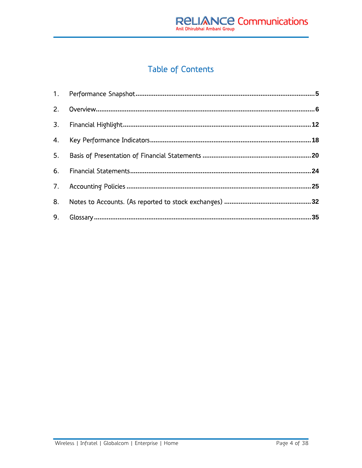## Table of Contents

| 9. |  |
|----|--|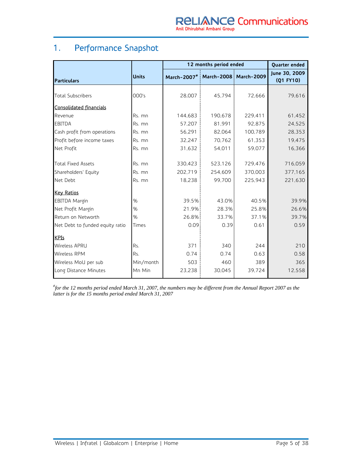## 1. Performance Snapshot

|                                 |              | 12 months period ended                | Quarter ended |         |                            |
|---------------------------------|--------------|---------------------------------------|---------------|---------|----------------------------|
| Particulars                     | <b>Units</b> | March-2007#   March-2008   March-2009 |               |         | June 30, 2009<br>(Q1 FY10) |
| <b>Total Subscribers</b>        | 000's        | 28,007                                | 45,794        | 72,666  | 79,616                     |
| <b>Consolidated financials</b>  |              |                                       |               |         |                            |
| Revenue                         | Rs. mn       | 144,683                               | 190,678       | 229,411 | 61,452                     |
| <b>EBITDA</b>                   | Rs. mn       | 57,207                                | 81,991        | 92,875  | 24,525                     |
| Cash profit from operations     | Rs. mn       | 56,291                                | 82,064        | 100,789 | 28,353                     |
| Profit before income taxes      | Rs. mn       | 32,247                                | 70,762        | 61,353  | 19,475                     |
| Net Profit                      | Rs. mn       | 31,632                                | 54,011        | 59,077  | 16,366                     |
| <b>Total Fixed Assets</b>       | Rs. mn       | 330,423                               | 523,126       | 729.476 | 716,059                    |
| Shareholders' Equity            | Rs. mn       | 202,719                               | 254,609       | 370,003 | 377,165                    |
| Net Debt                        | Rs. mn       | 18,238                                | 99.700        | 225,943 | 221,630                    |
| <b>Key Ratios</b>               |              |                                       |               |         |                            |
| <b>EBITDA Margin</b>            | %            | 39.5%                                 | 43.0%         | 40.5%   | 39.9%                      |
| Net Profit Margin               | %            | 21.9%                                 | 28.3%         | 25.8%   | 26.6%                      |
| Return on Networth              | %            | 26.8%                                 | 33.7%         | 37.1%   | 39.7%                      |
| Net Debt to funded equity ratio | Times        | 0.091                                 | 0.39          | 0.61    | 0.59                       |
| <b>KPIs</b>                     |              |                                       |               |         |                            |
| <b>Wireless APRU</b>            | Rs.          | 371                                   | 340           | 244     | 210                        |
| <b>Wireless RPM</b>             | Rs.          | 0.74                                  | 0.74          | 0.63    | 0.58                       |
| Wireless MoU per sub            | Min/month    | 503                                   | 460           | 389     | 365                        |
| Long Distance Minutes           | Mn Min       | 23,238                                | 30,045        | 39,724  | 12,558                     |

*# for the 12 months period ended March 31, 2007, the numbers may be different from the Annual Report 2007 as the latter is for the 15 months period ended March 31, 2007*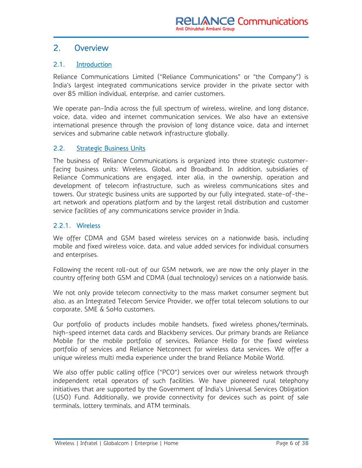### 2. Overview

#### 2.1. Introduction

Reliance Communications Limited ("Reliance Communications" or "the Company") is India's largest integrated communications service provider in the private sector with over 85 million individual, enterprise, and carrier customers.

We operate pan-India across the full spectrum of wireless, wireline, and long distance, voice, data, video and internet communication services. We also have an extensive international presence through the provision of long distance voice, data and internet services and submarine cable network infrastructure globally.

#### 2.2. Strategic Business Units

The business of Reliance Communications is organized into three strategic customerfacing business units: Wireless, Global, and Broadband. In addition, subsidiaries of Reliance Communications are engaged, inter alia, in the ownership, operation and development of telecom infrastructure, such as wireless communications sites and towers. Our strategic business units are supported by our fully integrated, state-of-theart network and operations platform and by the largest retail distribution and customer service facilities of any communications service provider in India.

#### 2.2.1. Wireless

We offer CDMA and GSM based wireless services on a nationwide basis, including mobile and fixed wireless voice, data, and value added services for individual consumers and enterprises.

Following the recent roll-out of our GSM network, we are now the only player in the country offering both GSM and CDMA (dual technology) services on a nationwide basis.

We not only provide telecom connectivity to the mass market consumer segment but also, as an Integrated Telecom Service Provider, we offer total telecom solutions to our corporate, SME & SoHo customers.

Our portfolio of products includes mobile handsets, fixed wireless phones/terminals, high-speed internet data cards and Blackberry services. Our primary brands are Reliance Mobile for the mobile portfolio of services, Reliance Hello for the fixed wireless portfolio of services and Reliance Netconnect for wireless data services. We offer a unique wireless multi media experience under the brand Reliance Mobile World.

We also offer public calling office ("PCO") services over our wireless network through independent retail operators of such facilities. We have pioneered rural telephony initiatives that are supported by the Government of India's Universal Services Obligation (USO) Fund. Additionally, we provide connectivity for devices such as point of sale terminals, lottery terminals, and ATM terminals.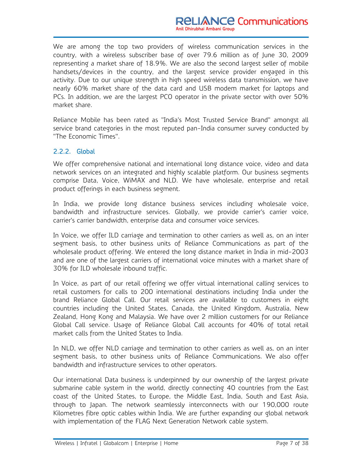We are among the top two providers of wireless communication services in the country, with a wireless subscriber base of over 79.6 million as of June 30, 2009 representing a market share of 18.9%. We are also the second largest seller of mobile handsets/devices in the country, and the largest service provider engaged in this activity. Due to our unique strength in high speed wireless data transmission, we have nearly 60% market share of the data card and USB modem market for laptops and PCs. In addition, we are the largest PCO operator in the private sector with over 50% market share.

Reliance Mobile has been rated as "India's Most Trusted Service Brand" amongst all service brand categories in the most reputed pan-India consumer survey conducted by "The Economic Times".

#### 2.2.2. Global

We offer comprehensive national and international long distance voice, video and data network services on an integrated and highly scalable platform. Our business segments comprise Data, Voice, WiMAX and NLD. We have wholesale, enterprise and retail product offerings in each business segment.

In India, we provide long distance business services including wholesale voice, bandwidth and infrastructure services. Globally, we provide carrier's carrier voice, carrier's carrier bandwidth, enterprise data and consumer voice services.

In Voice, we offer ILD carriage and termination to other carriers as well as, on an inter segment basis, to other business units of Reliance Communications as part of the wholesale product offering. We entered the long distance market in India in mid-2003 and are one of the largest carriers of international voice minutes with a market share of 30% for ILD wholesale inbound traffic.

In Voice, as part of our retail offering we offer virtual international calling services to retail customers for calls to 200 international destinations including India under the brand Reliance Global Call. Our retail services are available to customers in eight countries including the United States, Canada, the United Kingdom, Australia, New Zealand, Hong Kong and Malaysia. We have over 2 million customers for our Reliance Global Call service. Usage of Reliance Global Call accounts for 40% of total retail market calls from the United States to India.

In NLD, we offer NLD carriage and termination to other carriers as well as, on an inter segment basis, to other business units of Reliance Communications. We also offer bandwidth and infrastructure services to other operators.

Our international Data business is underpinned by our ownership of the largest private submarine cable system in the world, directly connecting 40 countries from the East coast of the United States, to Europe, the Middle East, India, South and East Asia, through to Japan. The network seamlessly interconnects with our 190,000 route Kilometres fibre optic cables within India. We are further expanding our global network with implementation of the FLAG Next Generation Network cable system.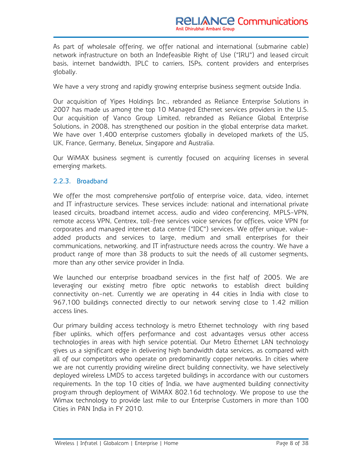As part of wholesale offering, we offer national and international (submarine cable) network infrastructure on both an Indefeasible Right of Use ("IRU") and leased circuit basis, internet bandwidth, IPLC to carriers, ISPs, content providers and enterprises globally.

We have a very strong and rapidly growing enterprise business segment outside India.

Our acquisition of Yipes Holdings Inc., rebranded as Reliance Enterprise Solutions in 2007 has made us among the top 10 Managed Ethernet services providers in the U.S. Our acquisition of Vanco Group Limited, rebranded as Reliance Global Enterprise Solutions, in 2008, has strengthened our position in the global enterprise data market. We have over 1,400 enterprise customers globally in developed markets of the US, UK, France, Germany, Benelux, Singapore and Australia.

Our WiMAX business segment is currently focused on acquiring licenses in several emerging markets.

#### 2.2.3. Broadband

We offer the most comprehensive portfolio of enterprise voice, data, video, internet and IT infrastructure services. These services include: national and international private leased circuits, broadband internet access, audio and video conferencing, MPLS-VPN, remote access VPN, Centrex, toll-free services voice services for offices, voice VPN for corporates and managed internet data centre ("IDC") services. We offer unique, valueadded products and services to large, medium and small enterprises for their communications, networking, and IT infrastructure needs across the country. We have a product range of more than 38 products to suit the needs of all customer segments, more than any other service provider in India.

We launched our enterprise broadband services in the first half of 2005. We are leveraging our existing metro fibre optic networks to establish direct building connectivity on-net. Currently we are operating in 44 cities in India with close to 967,100 buildings connected directly to our network serving close to 1.42 million access lines.

Our primary building access technology is metro Ethernet technology with ring based fiber uplinks, which offers performance and cost advantages versus other access technologies in areas with high service potential. Our Metro Ethernet LAN technology gives us a significant edge in delivering high bandwidth data services, as compared with all of our competitors who operate on predominantly copper networks. In cities where we are not currently providing wireline direct building connectivity, we have selectively deployed wireless LMDS to access targeted buildings in accordance with our customers requirements. In the top 10 cities of India, we have augmented building connectivity program through deployment of WiMAX 802.16d technology. We propose to use the Wimax technology to provide last mile to our Enterprise Customers in more than 100 Cities in PAN India in FY 2010.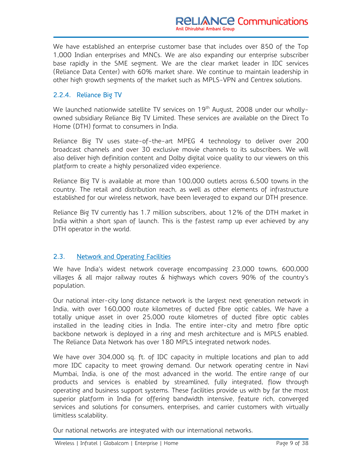We have established an enterprise customer base that includes over 850 of the Top 1,000 Indian enterprises and MNCs. We are also expanding our enterprise subscriber base rapidly in the SME segment. We are the clear market leader in IDC services (Reliance Data Center) with 60% market share. We continue to maintain leadership in other high growth segments of the market such as MPLS-VPN and Centrex solutions.

#### 2.2.4. Reliance Big TV

We launched nationwide satellite TV services on 19<sup>th</sup> August, 2008 under our whollyowned subsidiary Reliance Big TV Limited. These services are available on the Direct To Home (DTH) format to consumers in India.

Reliance Big TV uses state-of-the-art MPEG 4 technology to deliver over 200 broadcast channels and over 30 exclusive movie channels to its subscribers. We will also deliver high definition content and Dolby digital voice quality to our viewers on this platform to create a highly personalized video experience.

Reliance Big TV is available at more than 100,000 outlets across 6,500 towns in the country. The retail and distribution reach, as well as other elements of infrastructure established for our wireless network, have been leveraged to expand our DTH presence.

Reliance Big TV currently has 1.7 million subscribers, about 12% of the DTH market in India within a short span of launch. This is the fastest ramp up ever achieved by any DTH operator in the world.

#### 2.3. Network and Operating Facilities

We have India's widest network coverage encompassing 23,000 towns, 600,000 villages & all major railway routes & highways which covers 90% of the country's population.

Our national inter-city long distance network is the largest next generation network in India, with over 160,000 route kilometres of ducted fibre optic cables, We have a totally unique asset in over 25,000 route kilometres of ducted fibre optic cables installed in the leading cities in India. The entire inter-city and metro fibre optic backbone network is deployed in a ring and mesh architecture and is MPLS enabled. The Reliance Data Network has over 180 MPLS integrated network nodes.

We have over 304,000 sq. ft. of IDC capacity in multiple locations and plan to add more IDC capacity to meet growing demand. Our network operating centre in Navi Mumbai, India, is one of the most advanced in the world. The entire range of our products and services is enabled by streamlined, fully integrated, flow through operating and business support systems. These facilities provide us with by far the most superior platform in India for offering bandwidth intensive, feature rich, converged services and solutions for consumers, enterprises, and carrier customers with virtually limitless scalability.

Our national networks are integrated with our international networks.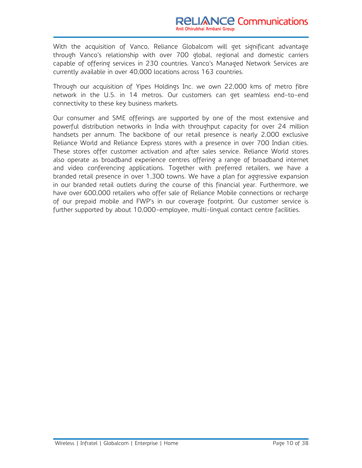With the acquisition of Vanco, Reliance Globalcom will get significant advantage through Vanco's relationship with over 700 global, regional and domestic carriers capable of offering services in 230 countries. Vanco's Managed Network Services are currently available in over 40,000 locations across 163 countries.

Through our acquisition of Yipes Holdings Inc. we own 22,000 kms of metro fibre network in the U.S. in 14 metros. Our customers can get seamless end-to-end connectivity to these key business markets.

Our consumer and SME offerings are supported by one of the most extensive and powerful distribution networks in India with throughput capacity for over 24 million handsets per annum. The backbone of our retail presence is nearly 2,000 exclusive Reliance World and Reliance Express stores with a presence in over 700 Indian cities. These stores offer customer activation and after sales service. Reliance World stores also operate as broadband experience centres offering a range of broadband internet and video conferencing applications. Together with preferred retailers, we have a branded retail presence in over 1,300 towns. We have a plan for aggressive expansion in our branded retail outlets during the course of this financial year. Furthermore, we have over 600,000 retailers who offer sale of Reliance Mobile connections or recharge of our prepaid mobile and FWP's in our coverage footprint. Our customer service is further supported by about 10,000-employee, multi-lingual contact centre facilities.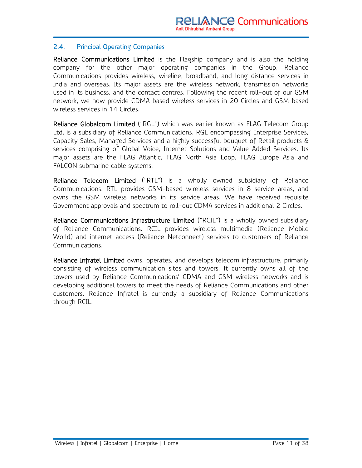#### 2.4. Principal Operating Companies

Reliance Communications Limited is the Flagship company and is also the holding company for the other major operating companies in the Group. Reliance Communications provides wireless, wireline, broadband, and long distance services in India and overseas. Its major assets are the wireless network, transmission networks used in its business, and the contact centres. Following the recent roll-out of our GSM network, we now provide CDMA based wireless services in 20 Circles and GSM based wireless services in 14 Circles.

Reliance Globalcom Limited ("RGL") which was earlier known as FLAG Telecom Group Ltd, is a subsidiary of Reliance Communications. RGL encompassing Enterprise Services, Capacity Sales, Managed Services and a highly successful bouquet of Retail products & services comprising of Global Voice, Internet Solutions and Value Added Services. Its major assets are the FLAG Atlantic, FLAG North Asia Loop, FLAG Europe Asia and FALCON submarine cable systems.

Reliance Telecom Limited ("RTL") is a wholly owned subsidiary of Reliance Communications. RTL provides GSM-based wireless services in 8 service areas, and owns the GSM wireless networks in its service areas. We have received requisite Government approvals and spectrum to roll-out CDMA services in additional 2 Circles.

Reliance Communications Infrastructure Limited ("RCIL") is a wholly owned subsidiary of Reliance Communications. RCIL provides wireless multimedia (Reliance Mobile World) and internet access (Reliance Netconnect) services to customers of Reliance Communications.

Reliance Infratel Limited owns, operates, and develops telecom infrastructure, primarily consisting of wireless communication sites and towers. It currently owns all of the towers used by Reliance Communications' CDMA and GSM wireless networks and is developing additional towers to meet the needs of Reliance Communications and other customers. Reliance Infratel is currently a subsidiary of Reliance Communications through RCIL.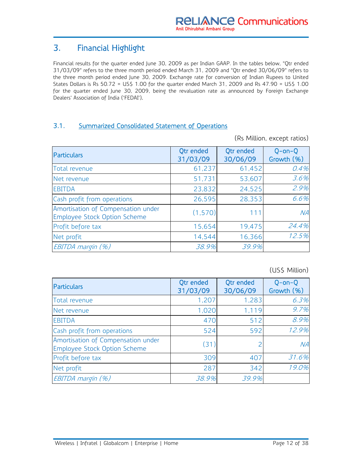## 3. Financial Highlight

Financial results for the quarter ended June 30, 2009 as per Indian GAAP. In the tables below, "Qtr ended 31/03/09" refers to the three month period ended March 31, 2009 and "Qtr ended 30/06/09" refers to the three month period ended June 30, 2009. Exchange rate for conversion of Indian Rupees to United States Dollars is Rs 50.72 = US\$ 1.00 for the quarter ended March 31, 2009 and Rs 47.90 = US\$ 1.00 for the quarter ended June 30, 2009, being the revaluation rate as announced by Foreign Exchange Dealers' Association of India ('FEDAI').

#### 3.1. Summarized Consolidated Statement of Operations

(Rs Million, except ratios)

| <b>Particulars</b>                                                 | Qtr ended<br>31/03/09 | Qtr ended<br>30/06/09 | $Q$ -on- $Q$<br>Growth (%) |
|--------------------------------------------------------------------|-----------------------|-----------------------|----------------------------|
| Total revenue                                                      | 61,237                | 61,452                | 0.4%                       |
| Net revenue                                                        | 51,731                | 53,607                | 3.6%                       |
| <b>EBITDA</b>                                                      | 23,832                | 24,525                | 2.9%                       |
| Cash profit from operations                                        | 26,595                | 28,353                | 6.6%                       |
| Amortisation of Compensation under<br>Employee Stock Option Scheme | (1, 570)              | 111                   | NA                         |
| Profit before tax                                                  | 15,654                | 19,475                | 24.4%                      |
| Net profit                                                         | 14,544                | 16,366                | 12.5%                      |
| EBITDA margin (%)                                                  | 38.9%                 | 39.9%                 |                            |

#### (US\$ Million)

| Particulars                                                        | Qtr ended<br>31/03/09 | Otr ended<br>30/06/09 | $Q$ -on- $Q$<br>Growth (%) |
|--------------------------------------------------------------------|-----------------------|-----------------------|----------------------------|
| Total revenue                                                      | 1,207                 | 1,283                 | 6.3%                       |
| Net revenue                                                        | 1,020                 | 1.119                 | 9.7%                       |
| <b>EBITDA</b>                                                      | 470                   | 512                   | 8.9%                       |
| Cash profit from operations                                        | 524                   | 592                   | 12.9%                      |
| Amortisation of Compensation under<br>Employee Stock Option Scheme | (31)                  | 2                     | NA                         |
| Profit before tax                                                  | 309                   | 407                   | 31.6%                      |
| Net profit                                                         | 287                   | 342                   | 19.0%                      |
| EBITDA margin (%)                                                  | 38.9%                 | 39.9%                 |                            |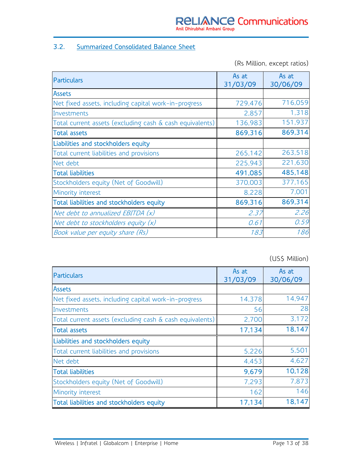#### 3.2. Summarized Consolidated Balance Sheet

(Rs Million, except ratios)

| <b>Particulars</b>                                       | As at<br>31/03/09 | As at<br>30/06/09 |
|----------------------------------------------------------|-------------------|-------------------|
| Assets                                                   |                   |                   |
| Net fixed assets, including capital work-in-progress     | 729,476           | 716,059           |
| Investments                                              | 2,857             | 1,318             |
| Total current assets (excluding cash & cash equivalents) | 136,983           | 151,937           |
| <b>Total assets</b>                                      | 869,316           | 869,314           |
| Liabilities and stockholders equity                      |                   |                   |
| Total current liabilities and provisions                 | 265,142           | 263,518           |
| Net debt                                                 | 225,943           | 221,630           |
| <b>Total liabilities</b>                                 | 491,085           | 485,148           |
| Stockholders equity (Net of Goodwill)                    | 370,003           | 377,165           |
| Minority interest                                        | 8,228             | 7,001             |
| Total liabilities and stockholders equity                | 869,316           | 869,314           |
| Net debt to annualized EBITDA (x)                        | 2.37              | 2.26              |
| Net debt to stockholders equity $(x)$                    | 0.61              | 0.59              |
| Book value per equity share (Rs)                         | 183               | 186               |

(US\$ Million)

| Particulars                                              | As at<br>31/03/09 | As at<br>30/06/09 |
|----------------------------------------------------------|-------------------|-------------------|
| <b>Assets</b>                                            |                   |                   |
| Net fixed assets, including capital work-in-progress     | 14,378            | 14,947            |
| Investments                                              | 56                | 28                |
| Total current assets (excluding cash & cash equivalents) | 2,700             | 3,172             |
| <b>Total assets</b>                                      | 17,134            | 18,147            |
| Liabilities and stockholders equity                      |                   |                   |
| Total current liabilities and provisions                 | 5,226             | 5,501             |
| Net debt                                                 | 4,453             | 4,627             |
| <b>Total liabilities</b>                                 | 9,679             | 10,128            |
| Stockholders equity (Net of Goodwill)                    | 7,293             | 7,873             |
| Minority interest                                        | 162               | 146               |
| Total liabilities and stockholders equity                | 17,134            | 18,147            |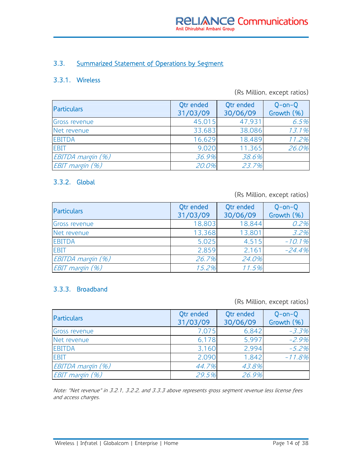#### 3.3. Summarized Statement of Operations by Segment

#### 3.3.1. Wireless

#### (Rs Million, except ratios)

| <b>Particulars</b> | Qtr ended<br>31/03/09 | Qtr ended<br>30/06/09 | $O$ -on- $O$<br>Growth (%) |
|--------------------|-----------------------|-----------------------|----------------------------|
| Gross revenue      | 45,015                | 47,931                | 6.5%                       |
| Net revenue        | 33,683                | 38,086                | 13.1%                      |
| <b>EBITDA</b>      | 16,629                | 18,489                | 11.2%                      |
| <b>EBIT</b>        | 9,020                 | 11,365                | 26.0%                      |
| EBITDA margin (%)  | 36.9%                 | 38.6%                 |                            |
| EBIT margin (%)    | 20.0%                 | 23.7%                 |                            |

#### 3.3.2. Global

(Rs Million, except ratios)

| <b>Particulars</b> | Otr ended<br>31/03/09 | Otr ended<br>30/06/09 | $Q$ -on- $Q$<br>Growth (%) |
|--------------------|-----------------------|-----------------------|----------------------------|
| Gross revenue      | 18,803                | 18,844                | 0.2%                       |
| Net revenue        | 13,368                | 13,801                | 3.2%                       |
| <b>EBITDA</b>      | 5,025                 | 4,515                 | $-10.1%$                   |
| <b>EBIT</b>        | 2,859                 | 2,161                 | $-24.4%$                   |
| EBITDA margin (%)  | 26.7%                 | 24.0%                 |                            |
| EBIT margin (%)    | 15.2%                 | 11.5%                 |                            |

#### 3.3.3. Broadband

(Rs Million, except ratios)

| <b>Particulars</b> | Qtr ended<br>31/03/09 | Qtr ended<br>30/06/09 | $Q$ -on- $Q$<br>Growth (%) |
|--------------------|-----------------------|-----------------------|----------------------------|
| Gross revenue      | 7,075                 | 6,842                 | $-3.3%$                    |
| Net revenue        | 6,178                 | 5,997                 | $-2.9%$                    |
| <b>EBITDA</b>      | 3,160                 | 2,994                 | $-5.2%$                    |
| <b>EBIT</b>        | 2,090                 | 1.842                 | $-11.8%$                   |
| EBITDA margin (%)  | 44.7%                 | 43.8%                 |                            |
| EBIT margin (%)    | 29.5%                 | 26.9%                 |                            |

Note: "Net revenue" in 3.2.1, 3.2.2, and 3.3.3 above represents gross segment revenue less license fees and access charges.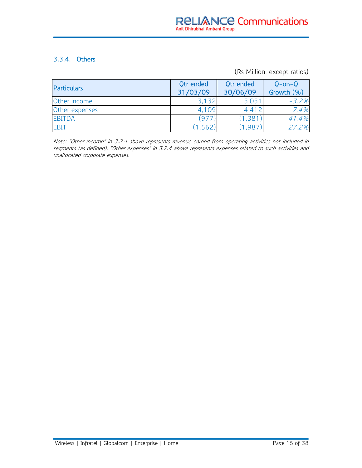#### 3.3.4. Others

(Rs Million, except ratios)

| <b>Particulars</b> | Qtr ended<br>31/03/09 | Qtr ended<br>30/06/09 | $Q$ -on- $Q$<br>Growth (%) |
|--------------------|-----------------------|-----------------------|----------------------------|
| Other income       | 3,132                 | 3,031                 | $-3.2%$                    |
| Other expenses     | 4,109                 | 4,412                 | 7.4%                       |
| <b>EBITDA</b>      | $(97 -$               | (1,381)               | 41.4%                      |
| <b>EBIT</b>        | 1,562                 | 1987                  | 27.2%                      |

Note: "Other income" in 3.2.4 above represents revenue earned from operating activities not included in segments (as defined). "Other expenses" in 3.2.4 above represents expenses related to such activities and unallocated corporate expenses.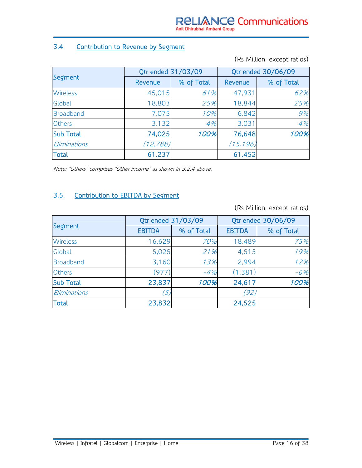#### 3.4. Contribution to Revenue by Segment

(Rs Million, except ratios)

|                  | Qtr ended 31/03/09 |            | Qtr ended 30/06/09 |            |  |
|------------------|--------------------|------------|--------------------|------------|--|
| Segment          | Revenue            | % of Total | Revenue            | % of Total |  |
| <b>Wireless</b>  | 45,015             | 61%        | 47,931             | 62%        |  |
| Global           | 18,803             | 25%        | 18,844             | 25%        |  |
| Broadband        | 7,075              | 10%        | 6,842              | 9%         |  |
| <b>Others</b>    | 3,132              | 4%         | 3,031              | 4%         |  |
| <b>Sub Total</b> | 74,025             | 100%       | 76,648             | 100%       |  |
| Eliminations     | (12, 788)          |            | (15, 196)          |            |  |
| <b>Total</b>     | 61,237             |            | 61,452             |            |  |

Note: "Others" comprises "Other income" as shown in 3.2.4 above.

## 3.5. Contribution to EBITDA by Segment

(Rs Million, except ratios)

|                  | Qtr ended 31/03/09 |            | Qtr ended 30/06/09 |            |  |
|------------------|--------------------|------------|--------------------|------------|--|
| Segment          | <b>EBITDA</b>      | % of Total | <b>EBITDA</b>      | % of Total |  |
| <b>Wireless</b>  | 16,629             | 70%        | 18,489             | 75%        |  |
| Global           | 5,025              | 21%        | 4,515              | 19%        |  |
| <b>Broadband</b> | 3,160              | 13%        | 2,994              | 12%        |  |
| <b>Others</b>    | (977)              | $-4%$      | (1,381)            | $-6%$      |  |
| <b>Sub Total</b> | 23,837             | 100%       | 24,617             | 100%       |  |
| Eliminations     | (5)                |            | (92)               |            |  |
| <b>Total</b>     | 23,832             |            | 24,525             |            |  |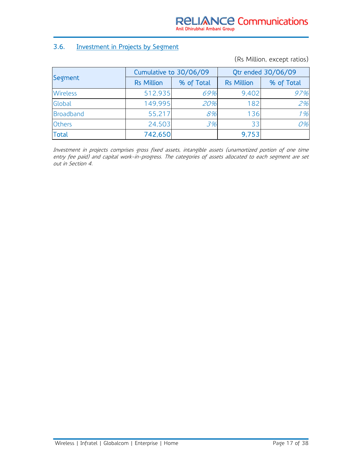#### 3.6. Investment in Projects by Segment

(Rs Million, except ratios)

| Segment          | Cumulative to 30/06/09 |            | Qtr ended 30/06/09 |            |
|------------------|------------------------|------------|--------------------|------------|
|                  | <b>Rs Million</b>      | % of Total | <b>Rs Million</b>  | % of Total |
| <b>Wireless</b>  | 512,935                | 69%        | 9,402              | 97%        |
| Global           | 149.995                | 20%        | 182                | 2%         |
| <b>Broadband</b> | 55,217                 | 8%         | 136                | 1%         |
| <b>Others</b>    | 24,503                 | 3%         | 33                 | 0%         |
| <b>Total</b>     | 742,650                |            | 9,753              |            |

Investment in projects comprises gross fixed assets, intangible assets (unamortized portion of one time entry fee paid) and capital work-in-progress. The categories of assets allocated to each segment are set out in Section 4.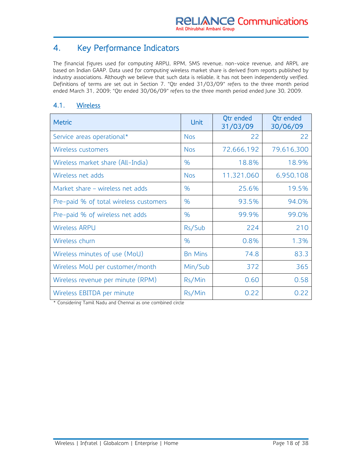## 4. Key Performance Indicators

The financial figures used for computing ARPU, RPM, SMS revenue, non-voice revenue, and ARPL are based on Indian GAAP. Data used for computing wireless market share is derived from reports published by industry associations. Although we believe that such data is reliable, it has not been independently verified. Definitions of terms are set out in Section 7. "Qtr ended 31/03/09" refers to the three month period ended March 31, 2009; "Qtr ended 30/06/09" refers to the three month period ended June 30, 2009.

#### 4.1. Wireless

| <b>Metric</b>                          | <b>Unit</b>    | <b>Qtr</b> ended<br>31/03/09 | <b>Qtr</b> ended<br>30/06/09 |
|----------------------------------------|----------------|------------------------------|------------------------------|
| Service areas operational*             | <b>Nos</b>     | 22                           | 22                           |
| Wireless customers                     | <b>Nos</b>     | 72,666,192                   | 79,616,300                   |
| Wireless market share (All-India)      | $\%$           | 18.8%                        | 18.9%                        |
| Wireless net adds                      | <b>Nos</b>     | 11,321,060                   | 6,950,108                    |
| Market share – wireless net adds       | $\%$           | 25.6%                        | 19.5%                        |
| Pre-paid % of total wireless customers | %              | 93.5%                        | 94.0%                        |
| Pre-paid % of wireless net adds        | %              | 99.9%                        | 99.0%                        |
| <b>Wireless ARPU</b>                   | Rs/Sub         | 224                          | 210                          |
| Wireless churn                         | $\%$           | 0.8%                         | 1.3%                         |
| Wireless minutes of use (MoU)          | <b>Bn Mins</b> | 74.8                         | 83.3                         |
| Wireless MoU per customer/month        | Min/Sub        | 372                          | 365                          |
| Wireless revenue per minute (RPM)      | Rs/Min         | 0.60                         | 0.58                         |
| Wireless EBITDA per minute             | Rs/Min         | 0.22                         | 0.22                         |

\* Considering Tamil Nadu and Chennai as one combined circle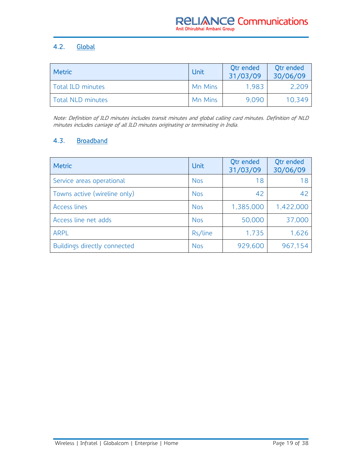#### 4.2. Global

| <b>Metric</b>     | <b>Unit</b> | <b>Qtr</b> ended<br>31/03/09 | Otr ended<br>30/06/09 |
|-------------------|-------------|------------------------------|-----------------------|
| Total ILD minutes | Mn Mins     | 1.983                        | 2,209                 |
| Total NLD minutes | Mn Mins     | 9,090                        | 10,349                |

Note: Definition of ILD minutes includes transit minutes and global calling card minutes. Definition of NLD minutes includes carriage of all ILD minutes originating or terminating in India.

#### 4.3. Broadband

| <b>Metric</b>                       | Unit       | Otr ended<br>31/03/09 | Otr ended<br>30/06/09 |
|-------------------------------------|------------|-----------------------|-----------------------|
| Service areas operational           | <b>Nos</b> | 18                    | 18                    |
| Towns active (wireline only)        | <b>Nos</b> | 42                    | 42                    |
| Access lines                        | <b>Nos</b> | 1,385,000             | 1,422,000             |
| Access line net adds                | <b>Nos</b> | 50,000                | 37,000                |
| <b>ARPL</b>                         | Rs/line    | 1,735                 | 1,626                 |
| <b>Buildings directly connected</b> | <b>Nos</b> | 929,600               | 967,154               |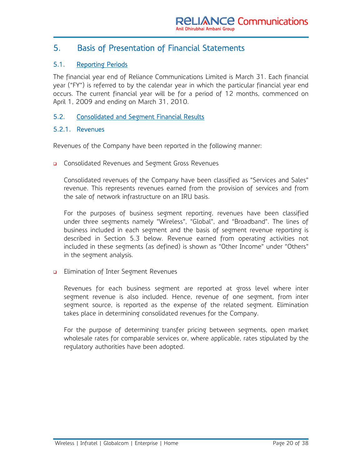### 5. Basis of Presentation of Financial Statements

#### 5.1. Reporting Periods

The financial year end of Reliance Communications Limited is March 31. Each financial year ("FY") is referred to by the calendar year in which the particular financial year end occurs. The current financial year will be for a period of 12 months, commenced on April 1, 2009 and ending on March 31, 2010.

#### 5.2. Consolidated and Segment Financial Results

#### 5.2.1. Revenues

Revenues of the Company have been reported in the following manner:

**Q** Consolidated Revenues and Segment Gross Revenues

Consolidated revenues of the Company have been classified as "Services and Sales" revenue. This represents revenues earned from the provision of services and from the sale of network infrastructure on an IRU basis.

For the purposes of business segment reporting, revenues have been classified under three segments namely "Wireless", "Global", and "Broadband". The lines of business included in each segment and the basis of segment revenue reporting is described in Section 5.3 below. Revenue earned from operating activities not included in these segments (as defined) is shown as "Other Income" under "Others" in the segment analysis.

**Elimination of Inter Segment Revenues** 

Revenues for each business segment are reported at gross level where inter segment revenue is also included. Hence, revenue of one segment, from inter segment source, is reported as the expense of the related segment. Elimination takes place in determining consolidated revenues for the Company.

For the purpose of determining transfer pricing between segments, open market wholesale rates for comparable services or, where applicable, rates stipulated by the regulatory authorities have been adopted.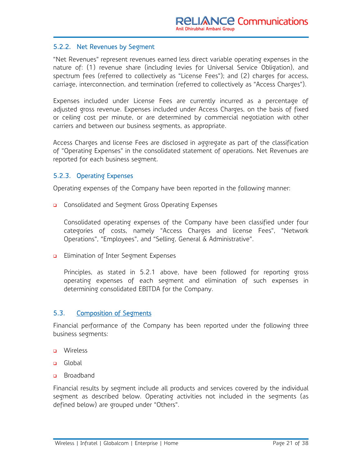#### 5.2.2. Net Revenues by Segment

"Net Revenues" represent revenues earned less direct variable operating expenses in the nature of: (1) revenue share (including levies for Universal Service Obligation), and spectrum fees (referred to collectively as "License Fees"); and (2) charges for access, carriage, interconnection, and termination (referred to collectively as "Access Charges").

Expenses included under License Fees are currently incurred as a percentage of adjusted gross revenue. Expenses included under Access Charges, on the basis of fixed or ceiling cost per minute, or are determined by commercial negotiation with other carriers and between our business segments, as appropriate.

Access Charges and license Fees are disclosed in aggregate as part of the classification of "Operating Expenses" in the consolidated statement of operations. Net Revenues are reported for each business segment.

#### 5.2.3. Operating Expenses

Operating expenses of the Company have been reported in the following manner:

**Q** Consolidated and Segment Gross Operating Expenses

Consolidated operating expenses of the Company have been classified under four categories of costs, namely "Access Charges and license Fees", "Network Operations", "Employees", and "Selling, General & Administrative".

**Elimination of Inter Segment Expenses** 

Principles, as stated in 5.2.1 above, have been followed for reporting gross operating expenses of each segment and elimination of such expenses in determining consolidated EBITDA for the Company.

#### 5.3. Composition of Segments

Financial performance of the Company has been reported under the following three business segments:

- **u** Wireless
- **a** Global
- **Broadband**

Financial results by segment include all products and services covered by the individual segment as described below. Operating activities not included in the segments (as defined below) are grouped under "Others".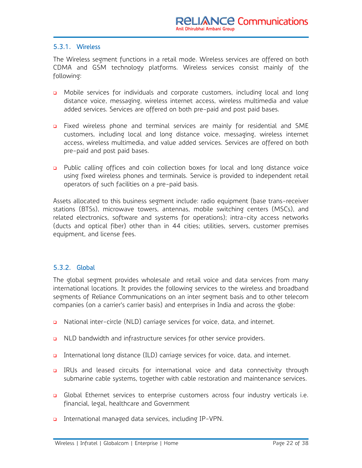#### 5.3.1. Wireless

The Wireless segment functions in a retail mode. Wireless services are offered on both CDMA and GSM technology platforms. Wireless services consist mainly of the following:

- **D** Mobile services for individuals and corporate customers, including local and long distance voice, messaging, wireless internet access, wireless multimedia and value added services. Services are offered on both pre-paid and post paid bases.
- Fixed wireless phone and terminal services are mainly for residential and SME customers, including local and long distance voice, messaging, wireless internet access, wireless multimedia, and value added services. Services are offered on both pre-paid and post paid bases.
- **D** Public calling offices and coin collection boxes for local and long distance voice using fixed wireless phones and terminals. Service is provided to independent retail operators of such facilities on a pre-paid basis.

Assets allocated to this business segment include: radio equipment (base trans-receiver stations (BTSs), microwave towers, antennas, mobile switching centers (MSCs), and related electronics, software and systems for operations); intra-city access networks (ducts and optical fiber) other than in 44 cities; utilities, servers, customer premises equipment, and license fees.

#### 5.3.2. Global

The global segment provides wholesale and retail voice and data services from many international locations. It provides the following services to the wireless and broadband segments of Reliance Communications on an inter segment basis and to other telecom companies (on a carrier's carrier basis) and enterprises in India and across the globe:

- □ National inter-circle (NLD) carriage services for voice, data, and internet.
- **Q** NLD bandwidth and infrastructure services for other service providers.
- International long distance (ILD) carriage services for voice, data, and internet.
- **a** IRUs and leased circuits for international voice and data connectivity through submarine cable systems, together with cable restoration and maintenance services.
- Global Ethernet services to enterprise customers across four industry verticals i.e. financial, legal, healthcare and Government
- International managed data services, including IP-VPN.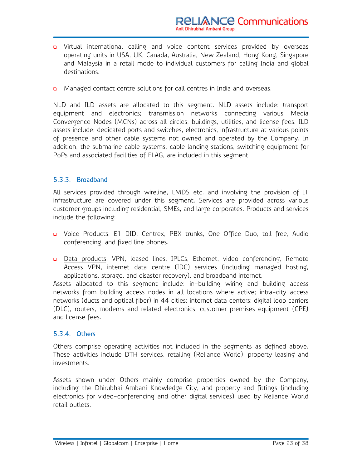- **D** Virtual international calling and voice content services provided by overseas operating units in USA, UK, Canada, Australia, New Zealand, Hong Kong, Singapore and Malaysia in a retail mode to individual customers for calling India and global destinations.
- Managed contact centre solutions for call centres in India and overseas.

NLD and ILD assets are allocated to this segment. NLD assets include: transport equipment and electronics; transmission networks connecting various Media Convergence Nodes (MCNs) across all circles; buildings, utilities, and license fees. ILD assets include: dedicated ports and switches, electronics, infrastructure at various points of presence and other cable systems not owned and operated by the Company. In addition, the submarine cable systems, cable landing stations, switching equipment for PoPs and associated facilities of FLAG, are included in this segment.

#### 5.3.3. Broadband

All services provided through wireline, LMDS etc. and involving the provision of IT infrastructure are covered under this segment. Services are provided across various customer groups including residential, SMEs, and large corporates. Products and services include the following:

- D Voice Products: E1 DID, Centrex, PBX trunks, One Office Duo, toll free, Audio conferencing, and fixed line phones.
- Data products: VPN, leased lines, IPLCs, Ethernet, video conferencing, Remote Access VPN, internet data centre (IDC) services (including managed hosting, applications, storage, and disaster recovery), and broadband internet.

Assets allocated to this segment include: in-building wiring and building access networks from building access nodes in all locations where active; intra-city access networks (ducts and optical fiber) in 44 cities; internet data centers; digital loop carriers (DLC), routers, modems and related electronics; customer premises equipment (CPE) and license fees.

#### 5.3.4. Others

Others comprise operating activities not included in the segments as defined above. These activities include DTH services, retailing (Reliance World), property leasing and investments.

Assets shown under Others mainly comprise properties owned by the Company, including the Dhirubhai Ambani Knowledge City, and property and fittings (including electronics for video-conferencing and other digital services) used by Reliance World retail outlets.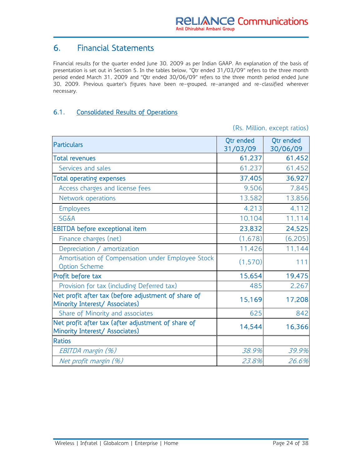### 6. Financial Statements

Financial results for the quarter ended June 30, 2009 as per Indian GAAP. An explanation of the basis of presentation is set out in Section 5. In the tables below, "Qtr ended 31/03/09" refers to the three month period ended March 31, 2009 and "Qtr ended 30/06/09" refers to the three month period ended June 30, 2009. Previous quarter's figures have been re-grouped, re-arranged and re-classified wherever necessary.

#### 6.1. Consolidated Results of Operations

(Rs. Million, except ratios)

| <b>Particulars</b>                                                                    | Qtr ended<br>31/03/09 | Otr ended<br>30/06/09 |
|---------------------------------------------------------------------------------------|-----------------------|-----------------------|
| <b>Total revenues</b>                                                                 | 61,237                | 61,452                |
| Services and sales                                                                    | 61,237                | 61,452                |
| <b>Total operating expenses</b>                                                       | 37,405                | 36,927                |
| Access charges and license fees                                                       | 9,506                 | 7,845                 |
| Network operations                                                                    | 13,582                | 13,856                |
| <b>Employees</b>                                                                      | 4,213                 | 4,112                 |
| SG&A                                                                                  | 10,104                | 11,114                |
| EBITDA before exceptional item                                                        | 23,832                | 24,525                |
| Finance charges (net)                                                                 | (1,678)               | (6, 205)              |
| Depreciation / amortization                                                           | 11,426                | 11,144                |
| Amortisation of Compensation under Employee Stock<br><b>Option Scheme</b>             | (1, 570)              | 111                   |
| Profit before tax                                                                     | 15,654                | 19,475                |
| Provision for tax (including Deferred tax)                                            | 485                   | 2,267                 |
| Net profit after tax (before adjustment of share of<br>Minority Interest/ Associates) | 15,169                | 17,208                |
| Share of Minority and associates                                                      | 625                   | 842                   |
| Net profit after tax (after adjustment of share of<br>Minority Interest/ Associates)  | 14,544                | 16,366                |
| <b>Ratios</b>                                                                         |                       |                       |
| EBITDA margin (%)                                                                     | 38.9%                 | 39.9%                 |
| Net profit margin (%)                                                                 | 23.8%                 | 26.6%                 |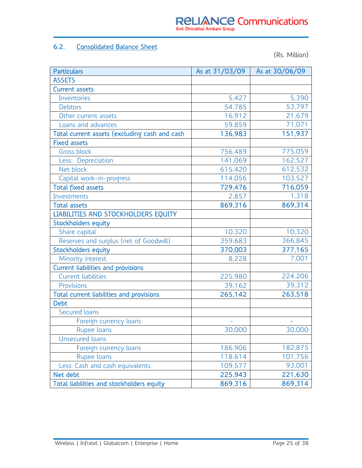#### 6.2. Consolidated Balance Sheet

(Rs. Million)

| <b>Particulars</b>                            | As at 31/03/09 | As at 30/06/09 |
|-----------------------------------------------|----------------|----------------|
| <b>ASSETS</b>                                 |                |                |
| <b>Current assets</b>                         |                |                |
| Inventories                                   | 5,427          | 5,390          |
| <b>Debtors</b>                                | 54,785         | 53,797         |
| Other current assets                          | 16,912         | 21,679         |
| Loans and advances                            | 59,859         | 71,071         |
| Total current assets (excluding cash and cash | 136,983        | 151,937        |
| <b>Fixed assets</b>                           |                |                |
| <b>Gross block</b>                            | 756,489        | 775,059        |
| Less: Depreciation                            | 141,069        | 162,527        |
| Net block                                     | 615,420        | 612,532        |
| Capital work-in-progress                      | 114,056        | 103,527        |
| <b>Total fixed assets</b>                     | 729,476        | 716,059        |
| Investments                                   | 2,857          | 1,318          |
| <b>Total assets</b>                           | 869,316        | 869,314        |
| LIABILITIES AND STOCKHOLDERS EQUITY           |                |                |
| <b>Stockholders equity</b>                    |                |                |
| Share capital                                 | 10,320         | 10,320         |
| Reserves and surplus (net of Goodwill)        | 359,683        | 366,845        |
| <b>Stockholders equity</b>                    | 370,003        | 377,165        |
| Minority interest                             | 8,228          | 7,001          |
| <b>Current liabilities and provisions</b>     |                |                |
| <b>Current liabilities</b>                    | 225,980        | 224,206        |
| Provisions                                    | 39,162         | 39,312         |
| Total current liabilities and provisions      | 265,142        | 263,518        |
| <b>Debt</b>                                   |                |                |
| Secured loans                                 |                |                |
| Foreign currency loans                        |                |                |
| Rupee loans                                   | 30,000         | 30,000         |
| Unsecured loans                               |                |                |
| Foreign currency loans                        | 186,906        | 182,875        |
| Rupee loans                                   | 118,614        | 101,756        |
| Less: Cash and cash equivalents               | 109,577        | 93,001         |
| Net debt                                      | 225,943        | 221,630        |
| Total liabilities and stockholders equity     | 869,316        | 869,314        |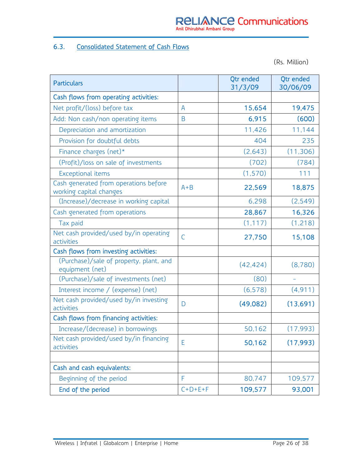#### 6.3. Consolidated Statement of Cash Flows

(Rs. Million)

| <b>Particulars</b>                                               |                | Otr ended<br>31/3/09 | <b>Qtr</b> ended<br>30/06/09 |
|------------------------------------------------------------------|----------------|----------------------|------------------------------|
| Cash flows from operating activities:                            |                |                      |                              |
| Net profit/(loss) before tax                                     | $\overline{A}$ | 15,654               | 19,475                       |
| Add: Non cash/non operating items                                | B              | 6,915                | (600)                        |
| Depreciation and amortization                                    |                | 11,426               | 11,144                       |
| Provision for doubtful debts                                     |                | 404                  | 235                          |
| Finance charges (net)*                                           |                | (2,643)              | (11,306)                     |
| (Profit)/loss on sale of investments                             |                | (702)                | (784)                        |
| Exceptional items                                                |                | (1, 570)             | 111                          |
| Cash generated from operations before<br>working capital changes | $A + B$        | 22,569               | 18,875                       |
| (Increase)/decrease in working capital                           |                | 6,298                | (2, 549)                     |
| Cash generated from operations                                   |                | 28,867               | 16,326                       |
| Tax paid                                                         |                | (1, 117)             | (1, 218)                     |
| Net cash provided/used by/in operating<br>activities             | C              | 27,750               | 15,108                       |
| Cash flows from investing activities:                            |                |                      |                              |
| (Purchase)/sale of property, plant, and<br>equipment (net)       |                | (42, 424)            | (8,780)                      |
| (Purchase)/sale of investments (net)                             |                | (80)                 |                              |
| Interest income / (expense) (net)                                |                | (6, 578)             | (4, 911)                     |
| Net cash provided/used by/in investing<br>activities             | D              | (49,082)             | (13,691)                     |
| Cash flows from financing activities:                            |                |                      |                              |
| Increase/(decrease) in borrowings                                |                | 50,162               | (17, 993)                    |
| Net cash provided/used by/in financing<br>activities             | E              | 50,162               | (17, 993)                    |
|                                                                  |                |                      |                              |
| Cash and cash equivalents:                                       |                |                      |                              |
| Beginning of the period                                          | F              | 80,747               | 109,577                      |
| End of the period                                                | $C+D+E+F$      | 109,577              | 93,001                       |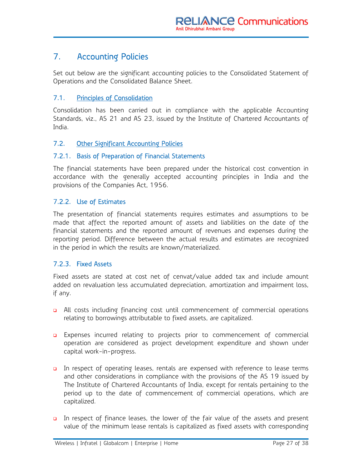## 7. Accounting Policies

Set out below are the significant accounting policies to the Consolidated Statement of Operations and the Consolidated Balance Sheet.

#### 7.1. Principles of Consolidation

Consolidation has been carried out in compliance with the applicable Accounting Standards, viz., AS 21 and AS 23, issued by the Institute of Chartered Accountants of India.

#### 7.2. Other Significant Accounting Policies

#### 7.2.1. Basis of Preparation of Financial Statements

The financial statements have been prepared under the historical cost convention in accordance with the generally accepted accounting principles in India and the provisions of the Companies Act, 1956.

#### 7.2.2. Use of Estimates

The presentation of financial statements requires estimates and assumptions to be made that affect the reported amount of assets and liabilities on the date of the financial statements and the reported amount of revenues and expenses during the reporting period. Difference between the actual results and estimates are recognized in the period in which the results are known/materialized.

#### 7.2.3. Fixed Assets

Fixed assets are stated at cost net of cenvat/value added tax and include amount added on revaluation less accumulated depreciation, amortization and impairment loss, if any.

- All costs including financing cost until commencement of commercial operations relating to borrowings attributable to fixed assets, are capitalized.
- **Expenses incurred relating to projects prior to commencement of commercial** operation are considered as project development expenditure and shown under capital work-in-progress.
- In respect of operating leases, rentals are expensed with reference to lease terms and other considerations in compliance with the provisions of the AS 19 issued by The Institute of Chartered Accountants of India, except for rentals pertaining to the period up to the date of commencement of commercial operations, which are capitalized.
- In respect of finance leases, the lower of the fair value of the assets and present value of the minimum lease rentals is capitalized as fixed assets with corresponding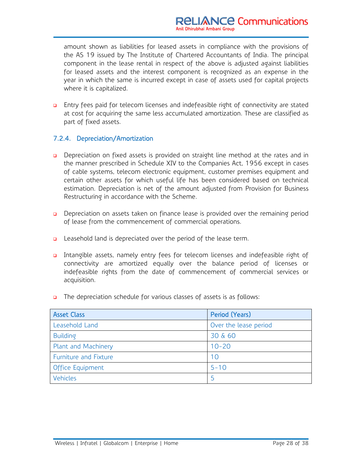amount shown as liabilities for leased assets in compliance with the provisions of the AS 19 issued by The Institute of Chartered Accountants of India. The principal component in the lease rental in respect of the above is adjusted against liabilities for leased assets and the interest component is recognized as an expense in the year in which the same is incurred except in case of assets used for capital projects where it is capitalized.

**Entry fees paid for telecom licenses and indefeasible right of connectivity are stated** at cost for acquiring the same less accumulated amortization. These are classified as part of fixed assets.

#### 7.2.4. Depreciation/Amortization

- **Depreciation on fixed assets is provided on straight line method at the rates and in** the manner prescribed in Schedule XIV to the Companies Act, 1956 except in cases of cable systems, telecom electronic equipment, customer premises equipment and certain other assets for which useful life has been considered based on technical estimation. Depreciation is net of the amount adjusted from Provision for Business Restructuring in accordance with the Scheme.
- Depreciation on assets taken on finance lease is provided over the remaining period of lease from the commencement of commercial operations.
- **Q** Leasehold land is depreciated over the period of the lease term.
- Intangible assets, namely entry fees for telecom licenses and indefeasible right of connectivity are amortized equally over the balance period of licenses or indefeasible rights from the date of commencement of commercial services or acquisition.
- **n** The depreciation schedule for various classes of assets is as follows:

| <b>Asset Class</b>    | Period (Years)        |
|-----------------------|-----------------------|
| Leasehold Land        | Over the lease period |
| <b>Building</b>       | 30 & 60               |
| Plant and Machinery   | $10 - 20$             |
| Furniture and Fixture | 10                    |
| Office Equipment      | $5 - 10$              |
| Vehicles              | 5                     |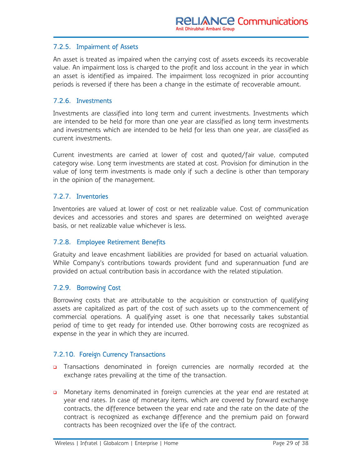#### 7.2.5. Impairment of Assets

An asset is treated as impaired when the carrying cost of assets exceeds its recoverable value. An impairment loss is charged to the profit and loss account in the year in which an asset is identified as impaired. The impairment loss recognized in prior accounting periods is reversed if there has been a change in the estimate of recoverable amount.

#### 7.2.6. Investments

Investments are classified into long term and current investments. Investments which are intended to be held for more than one year are classified as long term investments and investments which are intended to be held for less than one year, are classified as current investments.

Current investments are carried at lower of cost and quoted/fair value, computed category wise. Long term investments are stated at cost. Provision for diminution in the value of long term investments is made only if such a decline is other than temporary in the opinion of the management.

#### 7.2.7. Inventories

Inventories are valued at lower of cost or net realizable value. Cost of communication devices and accessories and stores and spares are determined on weighted average basis, or net realizable value whichever is less.

#### 7.2.8. Employee Retirement Benefits

Gratuity and leave encashment liabilities are provided for based on actuarial valuation. While Company's contributions towards provident fund and superannuation fund are provided on actual contribution basis in accordance with the related stipulation.

#### 7.2.9. Borrowing Cost

Borrowing costs that are attributable to the acquisition or construction of qualifying assets are capitalized as part of the cost of such assets up to the commencement of commercial operations. A qualifying asset is one that necessarily takes substantial period of time to get ready for intended use. Other borrowing costs are recognized as expense in the year in which they are incurred.

#### 7.2.10. Foreign Currency Transactions

- **D** Transactions denominated in foreign currencies are normally recorded at the exchange rates prevailing at the time of the transaction.
- Monetary items denominated in foreign currencies at the year end are restated at year end rates. In case of monetary items, which are covered by forward exchange contracts, the difference between the year end rate and the rate on the date of the contract is recognized as exchange difference and the premium paid on forward contracts has been recognized over the life of the contract.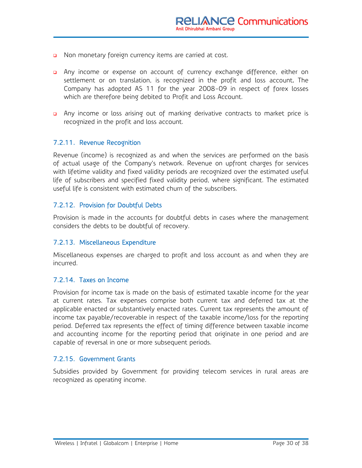- n Non monetary foreign currency items are carried at cost.
- Any income or expense on account of currency exchange difference, either on settlement or on translation, is recognized in the profit and loss account. The Company has adopted AS 11 for the year 2008-09 in respect of forex losses which are therefore being debited to Profit and Loss Account.
- a Any income or loss arising out of marking derivative contracts to market price is recognized in the profit and loss account.

#### 7.2.11. Revenue Recognition

Revenue (income) is recognized as and when the services are performed on the basis of actual usage of the Company's network. Revenue on upfront charges for services with lifetime validity and fixed validity periods are recognized over the estimated useful life of subscribers and specified fixed validity period, where significant. The estimated useful life is consistent with estimated churn of the subscribers.

#### 7.2.12. Provision for Doubtful Debts

Provision is made in the accounts for doubtful debts in cases where the management considers the debts to be doubtful of recovery.

#### 7.2.13. Miscellaneous Expenditure

Miscellaneous expenses are charged to profit and loss account as and when they are incurred.

#### 7.2.14. Taxes on Income

Provision for income tax is made on the basis of estimated taxable income for the year at current rates. Tax expenses comprise both current tax and deferred tax at the applicable enacted or substantively enacted rates. Current tax represents the amount of income tax payable/recoverable in respect of the taxable income/loss for the reporting period. Deferred tax represents the effect of timing difference between taxable income and accounting income for the reporting period that originate in one period and are capable of reversal in one or more subsequent periods.

#### 7.2.15. Government Grants

Subsidies provided by Government for providing telecom services in rural areas are recognized as operating income.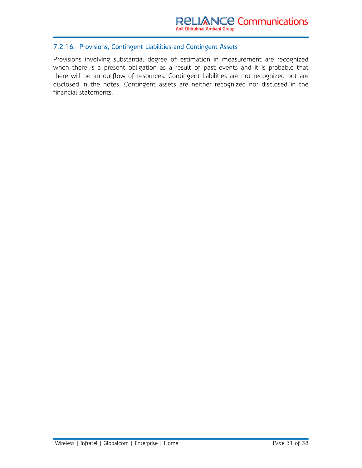#### 7.2.16. Provisions, Contingent Liabilities and Contingent Assets

Provisions involving substantial degree of estimation in measurement are recognized when there is a present obligation as a result of past events and it is probable that there will be an outflow of resources. Contingent liabilities are not recognized but are disclosed in the notes. Contingent assets are neither recognized nor disclosed in the financial statements.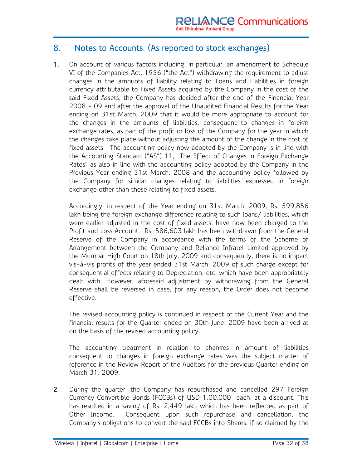#### 8. Notes to Accounts. (As reported to stock exchanges)

1. On account of various factors including, in particular, an amendment to Schedule VI of the Companies Act, 1956 ("the Act") withdrawing the requirement to adjust changes in the amounts of liability relating to Loans and Liabilities in foreign currency attributable to Fixed Assets acquired by the Company in the cost of the said Fixed Assets, the Company has decided after the end of the Financial Year 2008 - 09 and after the approval of the Unaudited Financial Results for the Year ending on 31st March, 2009 that it would be more appropriate to account for the changes in the amounts of liabilities, consequent to changes in foreign exchange rates, as part of the profit or loss of the Company for the year in which the changes take place without adjusting the amount of the change in the cost of fixed assets. The accounting policy now adopted by the Company is in line with the Accounting Standard ("AS") 11, "The Effect of Changes in Foreign Exchange Rates" as also in line with the accounting policy adopted by the Company in the Previous Year ending 31st March, 2008 and the accounting policy followed by the Company for similar changes relating to liabilities expressed in foreign exchange other than those relating to fixed assets.

 Accordingly, in respect of the Year ending on 31st March, 2009, Rs. 599,856 lakh being the foreign exchange difference relating to such loans/ liabilities, which were earlier adjusted in the cost of fixed assets, have now been charged to the Profit and Loss Account. Rs. 586,603 lakh has been withdrawn from the General Reserve of the Company in accordance with the terms of the Scheme of Arrangement between the Company and Reliance Infratel Limited approved by the Mumbai High Court on 18th July, 2009 and consequently, there is no impact vis-à-vis profits of the year ended 31st March, 2009 of such charge except for consequential effects relating to Depreciation, etc. which have been appropriately dealt with. However, aforesaid adjustment by withdrawing from the General Reserve shall be reversed in case, for any reason, the Order does not become effective.

 The revised accounting policy is continued in respect of the Current Year and the financial results for the Quarter ended on 30th June, 2009 have been arrived at on the basis of the revised accounting policy.

 The accounting treatment in relation to changes in amount of liabilities consequent to changes in foreign exchange rates was the subject matter of reference in the Review Report of the Auditors for the previous Quarter ending on March 31, 2009.

2. During the quarter, the Company has repurchased and cancelled 297 Foreign Currency Convertible Bonds (FCCBs) of USD 1,00,000 each, at a discount. This has resulted in a saving of Rs. 2,449 lakh which has been reflected as part of Other Income. Consequent upon such repurchase and cancellation, the Company's obligations to convert the said FCCBs into Shares, if so claimed by the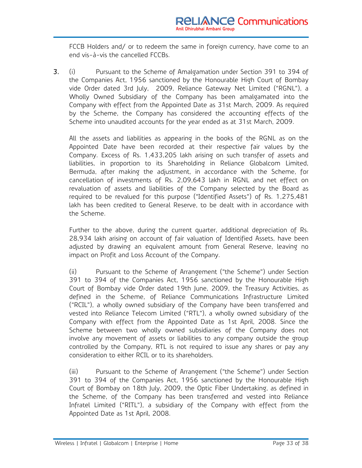FCCB Holders and/ or to redeem the same in foreign currency, have come to an end vis-à-vis the cancelled FCCBs.

3. (i) Pursuant to the Scheme of Amalgamation under Section 391 to 394 of the Companies Act, 1956 sanctioned by the Honourable High Court of Bombay vide Order dated 3rd July, 2009, Reliance Gateway Net Limited ("RGNL"), a Wholly Owned Subsidiary of the Company has been amalgamated into the Company with effect from the Appointed Date as 31st March, 2009. As required by the Scheme, the Company has considered the accounting effects of the Scheme into unaudited accounts for the year ended as at 31st March, 2009.

 All the assets and liabilities as appearing in the books of the RGNL as on the Appointed Date have been recorded at their respective fair values by the Company. Excess of Rs. 1,433,205 lakh arising on such transfer of assets and liabilities, in proportion to its Shareholding in Reliance Globalcom Limited, Bermuda, after making the adjustment, in accordance with the Scheme, for cancellation of investments of Rs. 2,09,643 lakh in RGNL and net effect on revaluation of assets and liabilities of the Company selected by the Board as required to be revalued for this purpose ("Identified Assets") of Rs. 1,275,481 lakh has been credited to General Reserve, to be dealt with in accordance with the Scheme.

 Further to the above, during the current quarter, additional depreciation of Rs. 28,934 lakh arising on account of fair valuation of Identified Assets, have been adjusted by drawing an equivalent amount from General Reserve, leaving no impact on Profit and Loss Account of the Company.

(ii) Pursuant to the Scheme of Arrangement ("the Scheme") under Section 391 to 394 of the Companies Act, 1956 sanctioned by the Honourable High Court of Bombay vide Order dated 19th June, 2009, the Treasury Activities, as defined in the Scheme, of Reliance Communications Infrastructure Limited ("RCIL"), a wholly owned subsidiary of the Company have been transferred and vested into Reliance Telecom Limited ("RTL"), a wholly owned subsidiary of the Company with effect from the Appointed Date as 1st April, 2008. Since the Scheme between two wholly owned subsidiaries of the Company does not involve any movement of assets or liabilities to any company outside the group controlled by the Company, RTL is not required to issue any shares or pay any consideration to either RCIL or to its shareholders.

(iii) Pursuant to the Scheme of Arrangement ("the Scheme") under Section 391 to 394 of the Companies Act, 1956 sanctioned by the Honourable High Court of Bombay on 18th July, 2009, the Optic Fiber Undertaking, as defined in the Scheme, of the Company has been transferred and vested into Reliance Infratel Limited ("RITL"), a subsidiary of the Company with effect from the Appointed Date as 1st April, 2008.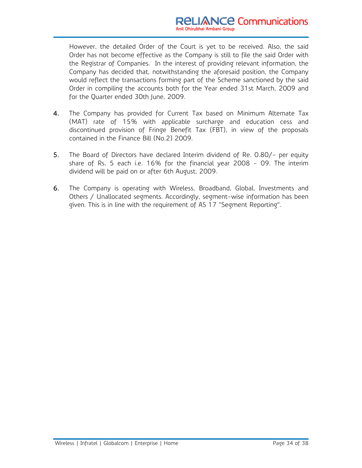However, the detailed Order of the Court is yet to be received. Also, the said Order has not become effective as the Company is still to file the said Order with the Registrar of Companies. In the interest of providing relevant information, the Company has decided that, notwithstanding the aforesaid position, the Company would reflect the transactions forming part of the Scheme sanctioned by the said Order in compiling the accounts both for the Year ended 31st March, 2009 and for the Quarter ended 30th June, 2009.

- 4. The Company has provided for Current Tax based on Minimum Alternate Tax (MAT) rate of 15% with applicable surcharge and education cess and discontinued provision of Fringe Benefit Tax (FBT), in view of the proposals contained in the Finance Bill (No.2) 2009.
- 5. The Board of Directors have declared Interim dividend of Re. 0.80/- per equity share of Rs. 5 each i.e. 16% for the financial year 2008 - 09. The interim dividend will be paid on or after 6th August, 2009.
- 6. The Company is operating with Wireless, Broadband, Global, Investments and Others / Unallocated segments. Accordingly, segment-wise information has been given. This is in line with the requirement of AS 17 "Segment Reporting".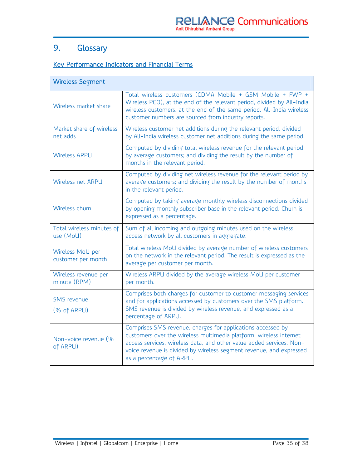## 9. Glossary

#### Key Performance Indicators and Financial Terms

| <b>Wireless Segment</b>                |                                                                                                                                                                                                                                                                                                              |
|----------------------------------------|--------------------------------------------------------------------------------------------------------------------------------------------------------------------------------------------------------------------------------------------------------------------------------------------------------------|
| Wireless market share                  | Total wireless customers (CDMA Mobile + GSM Mobile + FWP +<br>Wireless PCO), at the end of the relevant period, divided by All-India<br>wireless customers, at the end of the same period. All-India wireless<br>customer numbers are sourced from industry reports.                                         |
| Market share of wireless<br>net adds   | Wireless customer net additions during the relevant period, divided<br>by All-India wireless customer net additions during the same period.                                                                                                                                                                  |
| <b>Wireless ARPU</b>                   | Computed by dividing total wireless revenue for the relevant period<br>by average customers; and dividing the result by the number of<br>months in the relevant period.                                                                                                                                      |
| Wireless net ARPU                      | Computed by dividing net wireless revenue for the relevant period by<br>average customers; and dividing the result by the number of months<br>in the relevant period.                                                                                                                                        |
| Wireless churn                         | Computed by taking average monthly wireless disconnections divided<br>by opening monthly subscriber base in the relevant period. Churn is<br>expressed as a percentage.                                                                                                                                      |
| Total wireless minutes of<br>use (MoU) | Sum of all incoming and outgoing minutes used on the wireless<br>access network by all customers in aggregate.                                                                                                                                                                                               |
| Wireless MoU per<br>customer per month | Total wireless MoU divided by average number of wireless customers<br>on the network in the relevant period. The result is expressed as the<br>average per customer per month.                                                                                                                               |
| Wireless revenue per<br>minute (RPM)   | Wireless ARPU divided by the average wireless MoU per customer<br>per month.                                                                                                                                                                                                                                 |
| <b>SMS</b> revenue<br>(% of ARPU)      | Comprises both charges for customer to customer messaging services<br>and for applications accessed by customers over the SMS platform.<br>SMS revenue is divided by wireless revenue, and expressed as a<br>percentage of ARPU.                                                                             |
| Non-voice revenue (%<br>of ARPU)       | Comprises SMS revenue, charges for applications accessed by<br>customers over the wireless multimedia platform, wireless internet<br>access services, wireless data, and other value added services. Non-<br>voice revenue is divided by wireless segment revenue, and expressed<br>as a percentage of ARPU. |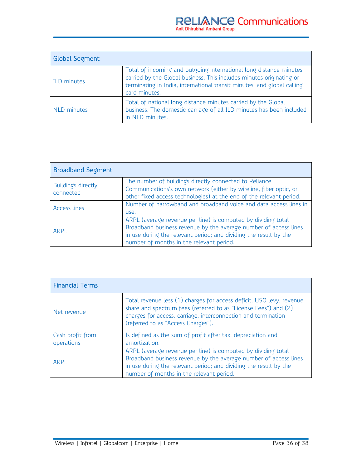| <b>Global Segment</b> |                                                                                                                                                                                                                                        |
|-----------------------|----------------------------------------------------------------------------------------------------------------------------------------------------------------------------------------------------------------------------------------|
| <b>ILD</b> minutes    | Total of incoming and outgoing international long distance minutes<br>carried by the Global business. This includes minutes originating or<br>terminating in India, international transit minutes, and global calling<br>card minutes. |
| NLD minutes           | Total of national long distance minutes carried by the Global<br>business. The domestic carriage of all ILD minutes has been included<br>in NLD minutes.                                                                               |

| <b>Broadband Segment</b>        |                                                                                                                                                                                                                                                    |
|---------------------------------|----------------------------------------------------------------------------------------------------------------------------------------------------------------------------------------------------------------------------------------------------|
| Buildings directly<br>connected | The number of buildings directly connected to Reliance<br>Communications's own network (either by wireline, fiber optic, or<br>other fixed access technologies) at the end of the relevant period.                                                 |
| Access lines                    | Number of narrowband and broadband voice and data access lines in<br>use.                                                                                                                                                                          |
| <b>ARPL</b>                     | ARPL (average revenue per line) is computed by dividing total<br>Broadband business revenue by the average number of access lines<br>in use during the relevant period; and dividing the result by the<br>number of months in the relevant period. |

| <b>Financial Terms</b>         |                                                                                                                                                                                                                                                    |
|--------------------------------|----------------------------------------------------------------------------------------------------------------------------------------------------------------------------------------------------------------------------------------------------|
| Net revenue                    | Total revenue less (1) charges for access deficit, USO levy, revenue<br>share and spectrum fees (referred to as "License Fees") and (2)<br>charges for access, carriage, interconnection and termination<br>(referred to as "Access Charges").     |
| Cash profit from<br>operations | Is defined as the sum of profit after tax, depreciation and<br>amortization.                                                                                                                                                                       |
| <b>ARPL</b>                    | ARPL (average revenue per line) is computed by dividing total<br>Broadband business revenue by the average number of access lines<br>in use during the relevant period; and dividing the result by the<br>number of months in the relevant period. |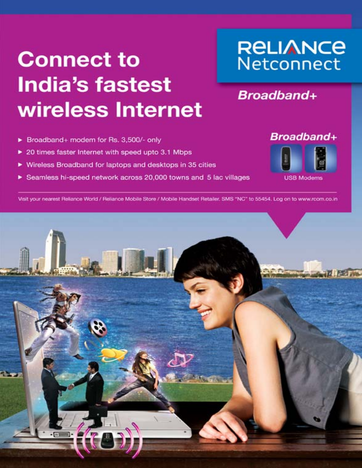# **Connect to India's fastest** wireless Internet

## **RELIANCE** Netconnect

## **Broadband+**

- > Broadband+ modem for Rs. 3,500/- only
- > 20 times faster Internet with speed upto 3.1 Mbps
- ▶ Wireless Broadband for laptops and desktops in 35 cities
- Seamless hi-speed network across 20,000 towns and 5 lac villages



**USB Modems** 

Visit your nearest Reliance World / Reliance Mobile Store / Mobile Handset Retailer, SMS "NC" to 55454, Log on to www.rcom.co.in